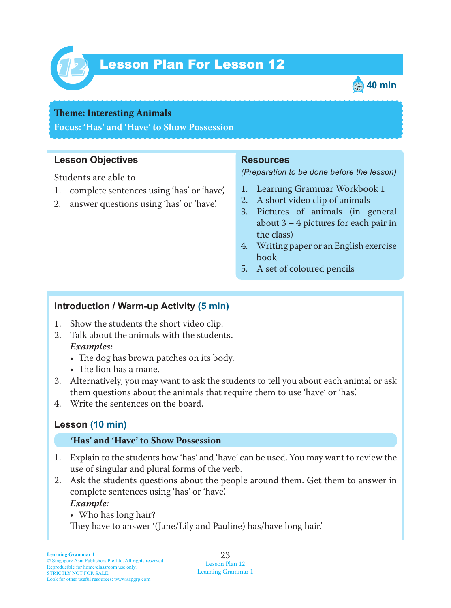

# Lesson Plan For Lesson 12 *12*



#### **Theme: Interesting Animals**

**Focus: 'Has' and 'Have' to Show Possession**

#### **Lesson Objectives**

Students are able to

- 1. complete sentences using 'has' or 'have',
- 2. answer questions using 'has' or 'have'.

#### **Resources**

*(Preparation to be done before the lesson)*

- 1. Learning Grammar Workbook 1
- 2. A short video clip of animals
- 3. Pictures of animals (in general about 3 – 4 pictures for each pair in the class)
- 4. Writing paper or an English exercise book
- 5. A set of coloured pencils

### **Introduction / Warm-up Activity (5 min)**

- 1. Show the students the short video clip.
- 2. Talk about the animals with the students.  *Examples:*
	- The dog has brown patches on its body.
	- The lion has a mane.
- 3. Alternatively, you may want to ask the students to tell you about each animal or ask them questions about the animals that require them to use 'have' or 'has'.
- 4. Write the sentences on the board.

# **Lesson (10 min)**

#### **'Has' and 'Have' to Show Possession**

- 1. Explain to the students how 'has' and 'have' can be used. You may want to review the use of singular and plural forms of the verb.
- 2. Ask the students questions about the people around them. Get them to answer in complete sentences using 'has' or 'have'.  *Example:*

• Who has long hair? They have to answer '(Jane/Lily and Pauline) has/have long hair.'

23 Lesson Plan 12 Learning Grammar 1